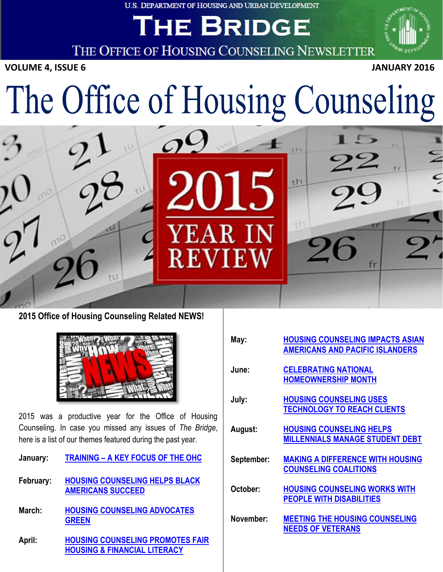**U.S. DEPARTMENT OF HOUSING AND URBAN DEVELOPMENT** 

## **HE BRIDGE**

THE OFFICE OF HOUSING COUNSELING NEWSLETTER

**VOLUME 4, ISSUE 6** JANUARY 2016



fr

# $\overline{a}$ The Office of Housing Counseling

**REVIEW** 





2015 was a productive year for the Office of Housing Counseling. In case you missed any issues of *The Bridge*, here is a list of our themes featured during the past year.

- **January: TRAINING – [A KEY FOCUS OF THE OHC](http://portal.hud.gov/hudportal/documents/huddoc?id=OHC_BRIDGE013015.pdf)**
- **February: [HOUSING COUNSELING HELPS BLACK](http://portal.hud.gov/hudportal/documents/huddoc?id=OHC_BRIDGE022615.pdf)  [AMERICANS SUCCEED](http://portal.hud.gov/hudportal/documents/huddoc?id=OHC_BRIDGE022615.pdf)**
- **March: [HOUSING COUNSELING ADVOCATES](http://portal.hud.gov/hudportal/documents/huddoc?id=OHC_BRIDGE033115.pdf)  [GREEN](http://portal.hud.gov/hudportal/documents/huddoc?id=OHC_BRIDGE033115.pdf)**
- **April: [HOUSING COUNSELING PROMOTES FAIR](http://portal.hud.gov/hudportal/documents/huddoc?id=OHC_BRIDGE042815.pdf)  [HOUSING & FINANCIAL LITERACY](http://portal.hud.gov/hudportal/documents/huddoc?id=OHC_BRIDGE042815.pdf)**

| May:       | <b>HOUSING COUNSELING IMPACTS ASIAN</b><br><b>AMERICANS AND PACIFIC ISLANDERS</b> |
|------------|-----------------------------------------------------------------------------------|
| June:      | <b>CELEBRATING NATIONAL</b>                                                       |
|            | <b>HOMEOWNERSHIP MONTH</b>                                                        |
| July:      | <b>HOUSING COUNSELING USES</b>                                                    |
|            | <b>TECHNOLOGY TO REACH CLIENTS</b>                                                |
| August:    | <b>HOUSING COUNSELING HELPS</b>                                                   |
|            | <b>MILLENNIALS MANAGE STUDENT DEBT</b>                                            |
|            | <b>MAKING A DIFFERENCE WITH HOUSING</b>                                           |
| September: | <b>COUNSELING COALITIONS</b>                                                      |
|            |                                                                                   |
| October:   | <b>HOUSING COUNSELING WORKS WITH</b>                                              |
|            | <b>PEOPLE WITH DISABILITIES</b>                                                   |
| November:  | <b>MEETING THE HOUSING COUNSELING</b>                                             |
|            | <b>NEEDS OF VETERANS</b>                                                          |

th

th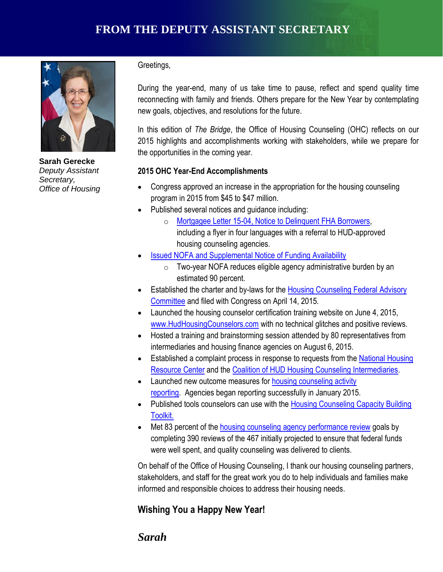

**Sarah Gerecke** *Deputy Assistant Secretary, Office of Housing*

Greetings,

During the year-end, many of us take time to pause, reflect and spend quality time reconnecting with family and friends. Others prepare for the New Year by contemplating new goals, objectives, and resolutions for the future.

In this edition of *The Bridge*, the Office of Housing Counseling (OHC) reflects on our 2015 highlights and accomplishments working with stakeholders, while we prepare for the opportunities in the coming year.

#### **2015 OHC Year-End Accomplishments**

- Congress approved an increase in the appropriation for the housing counseling program in 2015 from \$45 to \$47 million.
- Published several notices and guidance including:
	- o [Mortgagee Letter 15-04, Notice to Delinquent FHA Borrowers,](https://portal.hud.gov/hudportal/documents/huddoc?id=15-04ml.pdf) including a flyer in four languages with a referral to HUD-approved housing counseling agencies.
- [Issued NOFA and Supplemental Notice of Funding Availability](http://portal.hud.gov/hudportal/HUD?src=/press/press_releases_media_advisories/2015/HUDNo_15-074)
	- $\circ$  Two-year NOFA reduces eligible agency administrative burden by an estimated 90 percent.
- estimated 90 percent.<br>**E**stablished the charter and by-laws for the Housing Counseling Federal Advisory [Committee](http://portal.hud.gov/hudportal/HUD?src=/program_offices/housing/sfh/hcc/OHC_HCFAC) and filed with Congress on April 14, 2015.
	- Launched the housing counselor certification training website on June 4, 2015, [www.HudHousingCounselors.com](http://www.hudhousingcounselors.com/) with no technical glitches and positive reviews.
	- Hosted a training and brainstorming session attended by 80 representatives from intermediaries and housing finance agencies on August 6, 2015.
	- **Established a complaint process in response to requests from the National Housing** [Resource Center](http://www.hsgcenter.org/) and the [Coalition of HUD Housing Counseling Intermediaries.](http://www.coalitionforhousing.org/)
	- Launched new outcome measures for **housing counseling activity** [reporting.](http://portal.hud.gov/hudportal/HUD?src=/program_offices/housing/sfh/hcc/OHC_CMS1415a) Agencies began reporting successfully in January 2015.
	- Published tools counselors can use with the Housing Counseling Capacity Building [Toolkit.](http://portal.hud.gov/hudportal/HUD?src=/program_offices/housing/sfh/hcc/ohc_cap)
	- Met 83 percent of the housing counseling agency [performance review](http://portal.hud.gov/hudportal/documents/huddoc?id=9910.pdf) goals by completing 390 reviews of the 467 initially projected to ensure that federal funds were well spent, and quality counseling was delivered to clients.

On behalf of the Office of Housing Counseling, I thank our housing counseling partners, stakeholders, and staff for the great work you do to help individuals and families make informed and responsible choices to address their housing needs.

### **Wishing You a Happy New Year!**

## *Sarah*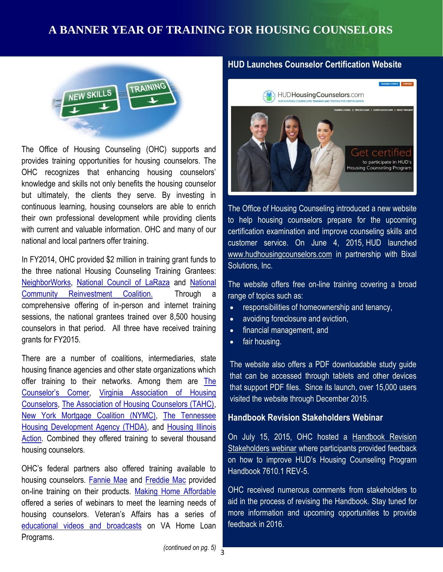## **A BANNER YEAR OF TRAINING FOR HOUSING COUNSELORS**



The Office of Housing Counseling (OHC) supports and provides training opportunities for housing counselors. The OHC recognizes that enhancing housing counselors' knowledge and skills not only benefits the housing counselor but ultimately, the clients they serve. By investing in continuous learning, housing counselors are able to enrich their own professional development while providing clients with current and valuable information. OHC and many of our national and local partners offer training.

**[NeighborWorks,](http://neighborworks.org/) [National Council of LaRaza](http://nclr.org/) and National** The website offers free o In FY2014, OHC provided \$2 million in training grant funds to the three national Housing Counseling Training Grantees: [Community Reinvestment Coalition.](http://www.ncrc.org/) Through a comprehensive offering of in-person and internet training sessions, the national grantees trained over 8,500 housing counselors in that period. All three have received training grants for FY2015.

There are a number of coalitions, intermediaries, state housing finance agencies and other state organizations which offer training to their networks. Among them are [The](http://www.thecounselorscorner.net/)  [Counselor's Corner](http://www.thecounselorscorner.net/), [Virginia Association of Housing](http://virginiahousingcounselors.org/)  [Counselors,](http://virginiahousingcounselors.org/) [The Association of Housing Counselors \(TAHC\),](http://www.associationofhousingcounselors.org/) [New York Mortgage Coalition \(NYMC\),](http://nymc.org/) [The Tennessee](http://thda.org/) [Housing Development Agency \(THDA\),](http://thda.org/) and Housing Illinois [Action.](http://housingactionil.org/) Combined they offered training to several thousand housing counselors.

OHC's federal partners also offered training available to housing counselors. [Fannie Mae](https://www.fanniemae.com/singlefamily/training) and [Freddie Mac](http://www.freddiemac.com/learn/edu/train/) provided on-line training on their products. [Making Home Affordable](https://www.makinghomeaffordable.gov/pages/default.aspx) offered a series of webinars to meet the learning needs of housing counselors. Veteran's Affairs has a series of [educational videos and broadcasts](http://www.benefits.va.gov/HOMELOANS/resources_video.asp) on VA Home Loan Programs.

#### **HUD Launches Counselor Certification Website**



The Office of Housing Counseling introduced a new website to help housing counselors prepare for the upcoming certification examination and improve counseling skills and customer service. On June 4, 2015, HUD launched [www.hudhousingcounselors.com](http://www.hudhousingcounselors.com/) in partnership with Bixal Solutions, Inc.

The website offers free on-line training covering a broad range of topics such as:

- responsibilities of homeownership and tenancy,
- avoiding foreclosure and eviction,
- financial management, and
- fair housing.

The website also offers a PDF downloadable study guide that can be accessed through tablets and other devices that support PDF files. Since its launch, over 15,000 users visited the website through December 2015.

#### **[Handbook Revision Stakeholders Webinar](http://portal.hud.gov/hudportal/HUD?src=/program_offices/housing/sfh/hcc/OHC_TRAINARC)**

On July 15, 2015, OHC hosted a [Handbook Revision](http://portal.hud.gov/hudportal/HUD?src=/program_offices/housing/sfh/hcc/OHC_TRAINARC)  [Stakeholders webinar](http://portal.hud.gov/hudportal/HUD?src=/program_offices/housing/sfh/hcc/OHC_TRAINARC) where participants provided feedback on how to improve HUD's Housing Counseling Program Handbook 7610.1 REV-5.

OHC received numerous comments from stakeholders to aid in the process of revising the Handbook. Stay tuned for more information and upcoming opportunities to provide feedback in 2016.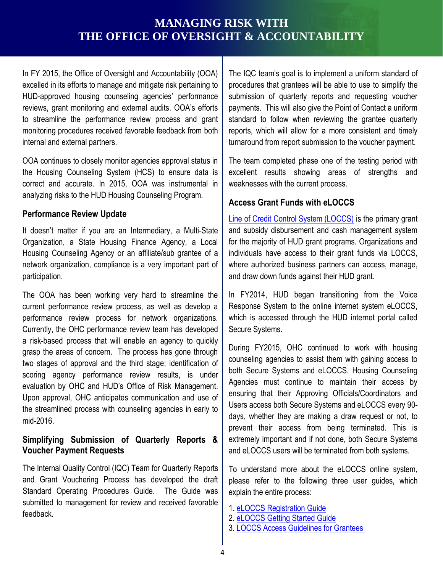## **MANAGING RISK WITH THE OFFICE OF OVERSIGHT & ACCOUNTABILITY**

In FY 2015, the Office of Oversight and Accountability (OOA) excelled in its efforts to manage and mitigate risk pertaining to HUD-approved housing counseling agencies' performance reviews, grant monitoring and external audits. OOA's efforts to streamline the performance review process and grant monitoring procedures received favorable feedback from both internal and external partners.

OOA continues to closely monitor agencies approval status in the Housing Counseling System (HCS) to ensure data is correct and accurate. In 2015, OOA was instrumental in analyzing risks to the HUD Housing Counseling Program.

#### **Performance Review Update**

**CHAMPIONS OF SERVICE SERVICE SERVICE SERVICE SERVICE SERVICE SERVICE SERVICE SERVICE SERVICE SERVICE SERVICE S** It doesn't matter if you are an Intermediary, a Multi-State Organization, a State Housing Finance Agency, a Local Housing Counseling Agency or an affiliate/sub grantee of a network organization, compliance is a very important part of participation.

The OOA has been working very hard to streamline the current performance review process, as well as develop a performance review process for network organizations. Currently, the OHC performance review team has developed a risk-based process that will enable an agency to quickly grasp the areas of concern. The process has gone through two stages of approval and the third stage; identification of scoring agency performance review results, is under evaluation by OHC and HUD's Office of Risk Management. Upon approval, OHC anticipates communication and use of the streamlined process with counseling agencies in early to mid-2016.

#### **Simplifying Submission of Quarterly Reports & Voucher Payment Requests**

The Internal Quality Control (IQC) Team for Quarterly Reports and Grant Vouchering Process has developed the draft Standard Operating Procedures Guide. The Guide was submitted to management for review and received favorable feedback.

The IQC team's goal is to implement a uniform standard of procedures that grantees will be able to use to simplify the submission of quarterly reports and requesting voucher payments. This will also give the Point of Contact a uniform standard to follow when reviewing the grantee quarterly reports, which will allow for a more consistent and timely turnaround from report submission to the voucher payment.

The team completed phase one of the testing period with excellent results showing areas of strengths and weaknesses with the current process.

#### **Access Grant Funds with eLOCCS**

[Line of Credit Control System \(LOCCS\)](http://portal.hud.gov/hudportal/HUD?src=/program_offices/cfo/loccs_guidelines) is the primary grant and subsidy disbursement and cash management system for the majority of HUD grant programs. Organizations and individuals have access to their grant funds via LOCCS, where authorized business partners can access, manage, and draw down funds against their HUD grant.

In FY2014, HUD began transitioning from the Voice Response System to the online internet system eLOCCS, which is accessed through the HUD internet portal called Secure Systems.

During FY2015, OHC continued to work with housing counseling agencies to assist them with gaining access to both Secure Systems and eLOCCS. Housing Counseling Agencies must continue to maintain their access by ensuring that their Approving Officials/Coordinators and Users access both Secure Systems and eLOCCS every 90 days, whether they are making a draw request or not, to prevent their access from being terminated. This is extremely important and if not done, both Secure Systems and eLOCCS users will be terminated from both systems.

To understand more about the eLOCCS online system, please refer to the following three user guides, which explain the entire process:

- 1. [eLOCCS Registration Guide](http://portal.hud.gov/hudportal/documents/huddoc?id=eloccs_registration_guide.pdf)
- 2. [eLOCCS Getting Started Guide](http://portal.hud.gov/hudportal/documents/huddoc?id=eloccsguide.pdf)
- 3. [LOCCS Access Guidelines for Grantees](http://portal.hud.gov/hudportal/HUD?src=/program_offices/cfo/loccs_guidelines)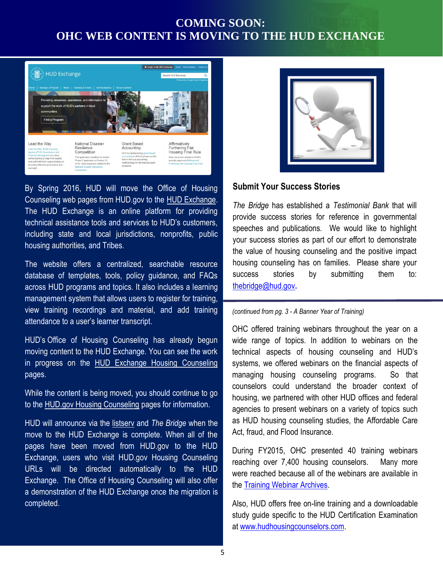## **COMING SOON: OHC WEB CONTENT IS MOVING TO THE HUD EXCHANGE**



By Spring 2016, HUD will move the Office of Housing Counseling web pages from HUD.gov to the [HUD Exchange.](https://www.hudexchange.info/) The HUD Exchange is an online platform for providing technical assistance tools and services to HUD's customers, including state and local jurisdictions, nonprofits, public housing authorities, and Tribes.

**CHAMPIONS CORRECTS CHAMPIONS CORRECTS CORRECTS CHAMPIONS CORRECTS CORRECTS CORRECTS CORRECTS CORRECTS CORRECTS CORRECTS CORRECTS CORRECTS CORRECTS CORRECTS CORRECTS CORRECTS CORRECTS** The website offers a centralized, searchable resource database of templates, tools, policy guidance, and FAQs management system that allows users to register for training, view training recordings and material, and add training attendance to a user's learner transcript.

HUD's Office of Housing Counseling has already begun moving content to the HUD Exchange. You can see the work in progress on the [HUD Exchange Housing Counseling](https://www.hudexchange.info/programs/housing-counseling/) pages.

While the content is being moved, you should continue to go to the [HUD.gov Housing Counseling](http://portal.hud.gov/hudportal/HUD?src=/program_offices/housing/sfh/hcc/) pages for information.

HUD will announce via the [listserv](http://portal.hud.gov/hudportal/HUD?src=/program_offices/housing/sfh/hcc/ohc_listserv) and *The Bridge* when the move to the HUD Exchange is complete. When all of the pages have been moved from HUD.gov to the HUD Exchange, users who visit HUD.gov Housing Counseling URLs will be directed automatically to the HUD Exchange. The Office of Housing Counseling will also offer a demonstration of the HUD Exchange once the migration is completed.



#### **Submit Your Success Stories**

*The Bridge* has established a *Testimonial Bank* that will provide success stories for reference in governmental speeches and publications. We would like to highlight your success stories as part of our effort to demonstrate the value of housing counseling and the positive impact housing counseling has on families. Please share your success stories by submitting them to: thebridge@hud.gov**.**

#### *(continued from pg. 3 - A Banner Year of Training)*

OHC offered training webinars throughout the year on a wide range of topics. In addition to webinars on the technical aspects of housing counseling and HUD's systems, we offered webinars on the financial aspects of managing housing counseling programs. So that counselors could understand the broader context of housing, we partnered with other HUD offices and federal agencies to present webinars on a variety of topics such as HUD housing counseling studies, the Affordable Care Act, fraud, and Flood Insurance.

During FY2015, OHC presented 40 training webinars reaching over 7,400 housing counselors. Many more were reached because all of the webinars are available in the [Training Webinar Archives.](http://portal.hud.gov/hudportal/HUD?src=/program_offices/housing/sfh/hcc/OHC_TRAINARC)

Also, HUD offers free on-line training and a downloadable study guide specific to the HUD Certification Examination at [www.hudhousingcounselors.com.](http://www.hudhousingcounselors.com/)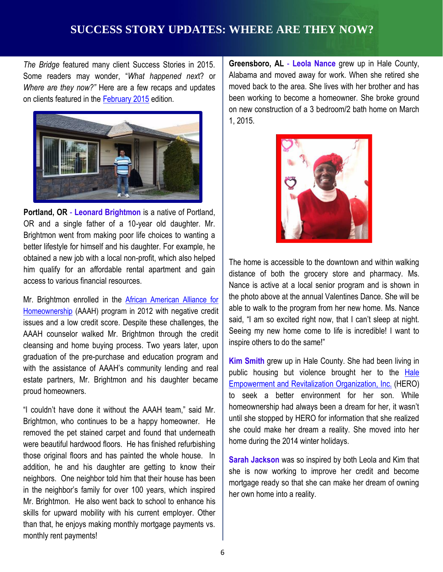## **SUCCESS STORY UPDATES: WHERE ARE THEY NOW?**

*The Bridge* featured many client Success Stories in 2015. Some readers may wonder, "*What happened nex*t? or *Where are they now?"* Here are a few recaps and updates on clients featured in the [February 2015](http://portal.hud.gov/hudportal/documents/huddoc?id=OHC_BRIDGE022615.pdf) edition.



**Portland, OR** - **Leonard Brightmon** is a native of Portland, OR and a single father of a 10-year old daughter. Mr. Brightmon went from making poor life choices to wanting a better lifestyle for himself and his daughter. For example, he obtained a new job with a local non-profit, which also helped him qualify for an affordable rental apartment and gain access to various financial resources.

Mr. Brightmon enrolled in the [African American Alliance for](http://www.aaah.org/)  [Homeownership](http://www.aaah.org/) (AAAH) program in 2012 with negative credit issues and a low credit score. Despite these challenges, the AAAH counselor walked Mr. Brightmon through the credit cleansing and home buying process. Two years later, upon graduation of the pre-purchase and education program and with the assistance of AAAH's community lending and real estate partners, Mr. Brightmon and his daughter became proud homeowners.

"I couldn't have done it without the AAAH team," said Mr. Brightmon, who continues to be a happy homeowner. He removed the pet stained carpet and found that underneath were beautiful hardwood floors. He has finished refurbishing those original floors and has painted the whole house. In addition, he and his daughter are getting to know their neighbors. One neighbor told him that their house has been in the neighbor's family for over 100 years, which inspired Mr. Brightmon. He also went back to school to enhance his skills for upward mobility with his current employer. Other than that, he enjoys making monthly mortgage payments vs. monthly rent payments!

**Greensboro, AL** - **Leola Nance** grew up in Hale County, Alabama and moved away for work. When she retired she moved back to the area. She lives with her brother and has been working to become a homeowner. She broke ground on new construction of a 3 bedroom/2 bath home on March 1, 2015.



ces. **CHAMPIONS CHAMPIONS CHAMPIONS CHAMPIONS CHAMPIONS CHAMPIONS CHAMPIONS CHAMPIONS CHAMPIONS CHAMPIONS CHAMPIONS CHAMPIONS CHAMPIONS CHAMPIONS CHAMPIONS CHAMPIONS CHAMPIONS CHAMPIONS** The home is accessible to the downtown and within walking distance of both the grocery store and pharmacy. Ms. the photo above at the annual Valentines Dance. She will be able to walk to the program from her new home. Ms. Nance said, "I am so excited right now, that I can't sleep at night. Seeing my new home come to life is incredible! I want to inspire others to do the same!"

> **Kim Smith** grew up in Hale County. She had been living in public housing but violence brought her to the [Hale](http://www.herohousing.org/) [Empowerment](http://www.herohousing.org/) and Revitalization Organization, Inc. (HERO) to seek a better environment for her son. While homeownership had always been a dream for her, it wasn't until she stopped by HERO for information that she realized she could make her dream a reality. She moved into her home during the 2014 winter holidays.

> **Sarah Jackson** was so inspired by both Leola and Kim that she is now working to improve her credit and become mortgage ready so that she can make her dream of owning her own home into a reality.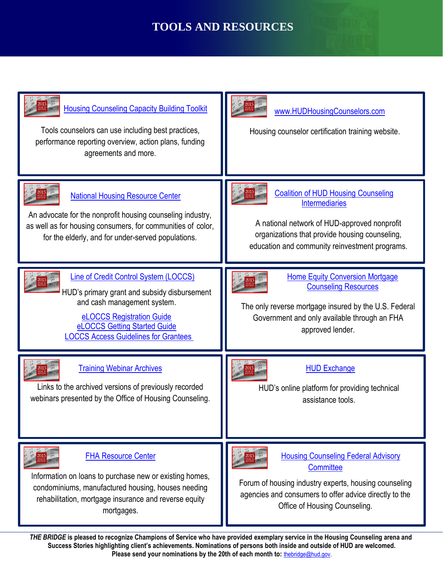## **TOOLS AND RESOURCES**



 7 **Please send your nominations by the 20th of each month to:** [thebridge@hud.gov.](mailto:thebridge@hud.gov)*THE BRIDGE* **is pleased to recognize Champions of Service who have provided exemplary service in the Housing Counseling arena and Success Stories highlighting client's achievements. Nominations of persons both inside and outside of HUD are welcomed.**